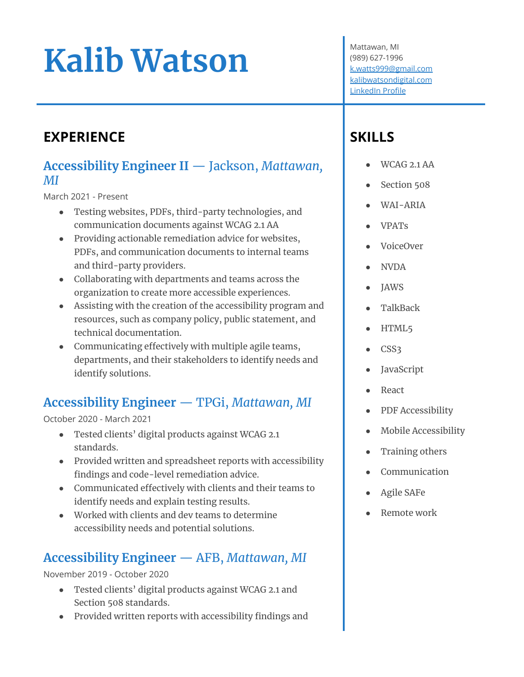# **Kalib Watson**

# **EXPERIENCE**

#### **Accessibility Engineer II** — Jackson, *Mattawan, MI*

March 2021 - Present

- Testing websites, PDFs, third-party technologies, and communication documents against WCAG 2.1 AA
- Providing actionable remediation advice for websites, PDFs, and communication documents to internal teams and third-party providers.
- Collaborating with departments and teams across the organization to create more accessible experiences.
- Assisting with the creation of the accessibility program and resources, such as company policy, public statement, and technical documentation.
- Communicating effectively with multiple agile teams, departments, and their stakeholders to identify needs and identify solutions.

# **Accessibility Engineer** — TPGi, *Mattawan, MI*

October 2020 - March 2021

- Tested clients' digital products against WCAG 2.1 standards.
- Provided written and spreadsheet reports with accessibility findings and code-level remediation advice.
- Communicated effectively with clients and their teams to identify needs and explain testing results.
- Worked with clients and dev teams to determine accessibility needs and potential solutions.

# **Accessibility Engineer** — AFB, *Mattawan, MI*

November 2019 - October 2020

- Tested clients' digital products against WCAG 2.1 and Section 508 standards.
- Provided written reports with accessibility findings and

Mattawan, MI (989) 627-1996 [k.watts999@gmail.com](mailto:k.watts999@gmail.com) [kalibwatsondigital.com](https://kalibwatsondigital.com) [LinkedIn Profile](https://www.linkedin.com/in/kalib-watson-636618112/)

# **SKILLS**

- WCAG 2.1 AA
- Section 508
- WAI-ARIA
- VPATs
- VoiceOver
- NVDA
- **JAWS**
- TalkBack
- HTML5
- CSS3
- **JavaScript**
- **React**
- PDF Accessibility
- Mobile Accessibility
- Training others
- **Communication**
- Agile SAFe
- Remote work